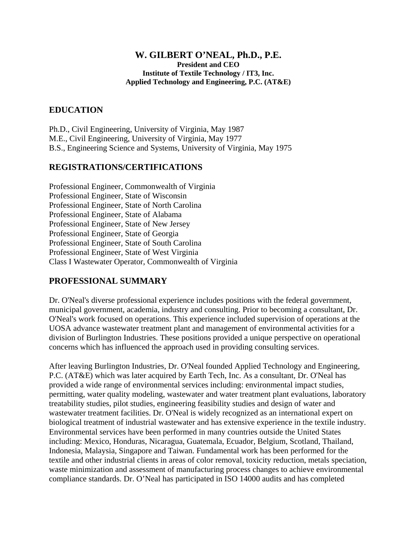#### **W. GILBERT O'NEAL, Ph.D., P.E. President and CEO Institute of Textile Technology / IT3, Inc. Applied Technology and Engineering, P.C. (AT&E)**

## **EDUCATION**

Ph.D., Civil Engineering, University of Virginia, May 1987 M.E., Civil Engineering, University of Virginia, May 1977 B.S., Engineering Science and Systems, University of Virginia, May 1975

## **REGISTRATIONS/CERTIFICATIONS**

Professional Engineer, Commonwealth of Virginia Professional Engineer, State of Wisconsin Professional Engineer, State of North Carolina Professional Engineer, State of Alabama Professional Engineer, State of New Jersey Professional Engineer, State of Georgia Professional Engineer, State of South Carolina Professional Engineer, State of West Virginia Class I Wastewater Operator, Commonwealth of Virginia

## **PROFESSIONAL SUMMARY**

Dr. O'Neal's diverse professional experience includes positions with the federal government, municipal government, academia, industry and consulting. Prior to becoming a consultant, Dr. O'Neal's work focused on operations. This experience included supervision of operations at the UOSA advance wastewater treatment plant and management of environmental activities for a division of Burlington Industries. These positions provided a unique perspective on operational concerns which has influenced the approach used in providing consulting services.

After leaving Burlington Industries, Dr. O'Neal founded Applied Technology and Engineering, P.C. (AT&E) which was later acquired by Earth Tech, Inc. As a consultant, Dr. O'Neal has provided a wide range of environmental services including: environmental impact studies, permitting, water quality modeling, wastewater and water treatment plant evaluations, laboratory treatability studies, pilot studies, engineering feasibility studies and design of water and wastewater treatment facilities. Dr. O'Neal is widely recognized as an international expert on biological treatment of industrial wastewater and has extensive experience in the textile industry. Environmental services have been performed in many countries outside the United States including: Mexico, Honduras, Nicaragua, Guatemala, Ecuador, Belgium, Scotland, Thailand, Indonesia, Malaysia, Singapore and Taiwan. Fundamental work has been performed for the textile and other industrial clients in areas of color removal, toxicity reduction, metals speciation, waste minimization and assessment of manufacturing process changes to achieve environmental compliance standards. Dr. O'Neal has participated in ISO 14000 audits and has completed